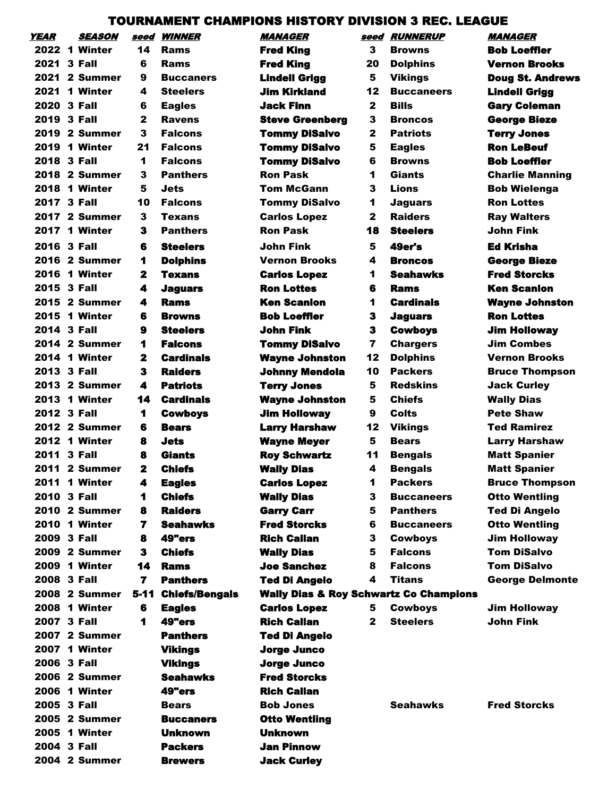## TOURNAMENT CHAMPIONS HISTORY DIVISION 3 REC. LEAGUE

| YEAR        | <i><b>SEASON</b></i> | seed                 | <i><b>WINNER</b></i>  | <i><b>MANAGER</b></i>                             | seed         | <i><b>RUNNERUP</b></i>           | <i><b>MANAGER</b></i>   |
|-------------|----------------------|----------------------|-----------------------|---------------------------------------------------|--------------|----------------------------------|-------------------------|
|             | 2022 1 Winter        | 14                   | Rams                  | <b>Fred King</b>                                  | 3            | <b>Browns</b>                    | <b>Bob Loeffler</b>     |
| 2021        | 3 Fall               | 6                    | Rams                  | <b>Fred King</b>                                  | 20           | <b>Dolphins</b>                  | <b>Vernon Brooks</b>    |
|             | <b>2021 2 Summer</b> | 9                    | <b>Buccaners</b>      | <b>Lindell Grigg</b>                              | 5            | <b>Vikings</b>                   | <b>Doug St. Andrews</b> |
| 2021        | 1 Winter             | 4                    | <b>Steelers</b>       | <b>Jim Kirkland</b>                               | 12           | <b>Buccaneers</b>                | <b>Lindell Grigg</b>    |
| 2020        | 3 Fall               | 6                    | <b>Eagles</b>         | <b>Jack Finn</b>                                  | $\mathbf{2}$ | <b>Bills</b>                     | <b>Gary Coleman</b>     |
| 2019 3 Fall |                      | $\mathbf{2}$         | <b>Ravens</b>         | <b>Steve Greenberg</b>                            | 3            | <b>Broncos</b>                   | <b>George Bieze</b>     |
|             | 2019 2 Summer        | 3                    | <b>Falcons</b>        | <b>Tommy DiSalvo</b>                              | 2            | <b>Patriots</b>                  | <b>Terry Jones</b>      |
| 2019        | 1 Winter             | 21                   | <b>Falcons</b>        | <b>Tommy DiSalvo</b>                              | 5            | <b>Eagles</b>                    | <b>Ron LeBeuf</b>       |
| 2018        | 3 Fall               | 1                    | <b>Falcons</b>        | <b>Tommy DiSalvo</b>                              | 6            | <b>Browns</b>                    | <b>Bob Loeffler</b>     |
|             | <b>2018 2 Summer</b> | 3                    | <b>Panthers</b>       | <b>Ron Pask</b>                                   | 1            | Giants                           | <b>Charlie Manning</b>  |
| 2018        | 1 Winter             | 5                    | Jets                  | <b>Tom McGann</b>                                 | 3            | Lions                            | <b>Bob Wielenga</b>     |
| 2017        | 3 Fall               | 10                   | <b>Falcons</b>        | <b>Tommy DiSalvo</b>                              | 1            | <b>Jaguars</b>                   | <b>Ron Lottes</b>       |
|             | <b>2017 2 Summer</b> | 3                    | Texans                | <b>Carlos Lopez</b>                               | 2            | <b>Raiders</b>                   | <b>Ray Walters</b>      |
| 2017        | 1 Winter             | 3                    | <b>Panthers</b>       | <b>Ron Pask</b>                                   | 18           | <b>Steelers</b>                  | John Fink               |
| 2016 3 Fall |                      | 6                    | <b>Steelers</b>       | John Fink                                         | 5            | 49er's                           | Ed Krisha               |
|             | <b>2016 2 Summer</b> | 1                    | <b>Dolphins</b>       | <b>Vernon Brooks</b>                              | 4            | <b>Broncos</b>                   | <b>George Bieze</b>     |
| 2016        | 1 Winter             | $\mathbf{z}$         | Texans                | <b>Carlos Lopez</b>                               | 1            | <b>Seahawks</b>                  | Fred Storcks            |
| 2015 3 Fall |                      | 4                    | <b>Jaguars</b>        | <b>Ron Lottes</b>                                 | 6            | <b>Rams</b>                      | <b>Ken Scanlon</b>      |
|             | 2015 2 Summer        | 4                    | Rams                  | <b>Ken Scanlon</b>                                | 1            | <b>Cardinals</b>                 | <b>Wayne Johnston</b>   |
| 2015        | 1 Winter             | 6                    | <b>Browns</b>         | <b>Bob Loeffler</b>                               | 3            | <b>Jaguars</b>                   | <b>Ron Lottes</b>       |
| 2014        | 3 Fall               | 9                    | <b>Steelers</b>       | John Fink                                         | 3            | <b>Cowboys</b>                   | <b>Jim Holloway</b>     |
|             | 2014 2 Summer        | 1                    | <b>Falcons</b>        | <b>Tommy DiSalvo</b>                              | 7            | <b>Chargers</b>                  | <b>Jim Combes</b>       |
|             | <b>2014 1 Winter</b> | $\mathbf{z}$         | <b>Cardinals</b>      | <b>Wayne Johnston</b>                             | 12           | <b>Dolphins</b>                  | <b>Vernon Brooks</b>    |
| 2013        | 3 Fall               | 3                    | <b>Raiders</b>        | <b>Johnny Mendola</b>                             | 10           | <b>Packers</b>                   | <b>Bruce Thompson</b>   |
|             | 2013 2 Summer        | 4                    | <b>Patriots</b>       | <b>Terry Jones</b>                                | 5            | <b>Redskins</b>                  | <b>Jack Curley</b>      |
|             | 2013 1 Winter        | 14                   | <b>Cardinals</b>      | <b>Wayne Johnston</b>                             | 5            | <b>Chiefs</b>                    | <b>Wally Dias</b>       |
| 2012 3 Fall |                      | $\blacktriangleleft$ | <b>Cowboys</b>        | <b>Jim Holloway</b>                               | 9            | Colts                            | <b>Pete Shaw</b>        |
|             | <b>2012 2 Summer</b> | 6                    | <b>Bears</b>          | <b>Larry Harshaw</b>                              | 12           | <b>Vikings</b>                   | <b>Ted Ramirez</b>      |
|             | <b>2012 1 Winter</b> | 8                    | <b>Jets</b>           | <b>Wayne Meyer</b>                                | 5            | <b>Bears</b>                     | <b>Larry Harshaw</b>    |
| 2011        | 3 Fall               | 8                    | Giants                | <b>Roy Schwartz</b>                               | 11           |                                  | <b>Matt Spanier</b>     |
|             | <b>2011 2 Summer</b> | 2                    | <b>Chiefs</b>         | <b>Wally Dias</b>                                 | 4            | <b>Bengals</b><br><b>Bengals</b> | <b>Matt Spanier</b>     |
|             |                      | 4                    |                       |                                                   |              |                                  |                         |
| 2011        | 1 Winter             |                      | <b>Eagles</b>         | <b>Carlos Lopez</b>                               | 1            | <b>Packers</b>                   | <b>Bruce Thompson</b>   |
| 2010 3 Fall |                      | 1                    | <b>Chiefs</b>         | <b>Wally Dias</b>                                 | 3            | <b>Buccaneers</b>                | <b>Otto Wentling</b>    |
|             | <b>2010 2 Summer</b> | 8                    | <b>Raiders</b>        | <b>Garry Carr</b>                                 | 5            | <b>Panthers</b>                  | <b>Ted Di Angelo</b>    |
|             | <b>2010 1 Winter</b> | 7                    | <b>Seahawks</b>       | <b>Fred Storcks</b>                               | 6            | <b>Buccaneers</b>                | <b>Otto Wentling</b>    |
| 2009 3 Fall |                      | 8                    | 49"ers                | <b>Rich Callan</b>                                | 3            | <b>Cowboys</b>                   | <b>Jim Holloway</b>     |
|             | 2009 2 Summer        | 3                    | <b>Chiefs</b>         | <b>Wally Dias</b>                                 | 5            | <b>Falcons</b>                   | <b>Tom DiSalvo</b>      |
|             | 2009 1 Winter        | 14                   | <b>Rams</b>           | <b>Joe Sanchez</b>                                | 8            | <b>Falcons</b>                   | <b>Tom DiSalvo</b>      |
| 2008 3 Fall |                      | 7                    | <b>Panthers</b>       | <b>Ted Di Angelo</b>                              | 4            | Titans                           | <b>George Delmonte</b>  |
|             | 2008 2 Summer        | 5-11                 | <b>Chiefs/Bengals</b> | <b>Wally Dias &amp; Roy Schwartz Co Champions</b> |              |                                  |                         |
|             | <b>2008 1 Winter</b> | 6                    | <b>Eagles</b>         | <b>Carlos Lopez</b>                               | 5            | <b>Cowboys</b>                   | <b>Jim Holloway</b>     |
| 2007 3 Fall |                      | 1                    | 49"ers                | <b>Rich Callan</b>                                | $\mathbf{2}$ | <b>Steelers</b>                  | <b>John Fink</b>        |
|             | <b>2007 2 Summer</b> |                      | <b>Panthers</b>       | <b>Ted Di Angelo</b>                              |              |                                  |                         |
|             | <b>2007 1 Winter</b> |                      | <b>Vikings</b>        | Jorge Junco                                       |              |                                  |                         |
| 2006 3 Fall |                      |                      | <b>Vikings</b>        | <b>Jorge Junco</b>                                |              |                                  |                         |
|             | <b>2006 2 Summer</b> |                      | <b>Seahawks</b>       | <b>Fred Storcks</b>                               |              |                                  |                         |
|             | <b>2006 1 Winter</b> |                      | 49"ers                | <b>Rich Callan</b>                                |              |                                  |                         |
| 2005 3 Fall |                      |                      | <b>Bears</b>          | <b>Bob Jones</b>                                  |              | <b>Seahawks</b>                  | <b>Fred Storcks</b>     |
|             | 2005 2 Summer        |                      | <b>Buccaners</b>      | <b>Otto Wentling</b>                              |              |                                  |                         |
|             | <b>2005 1 Winter</b> |                      | <b>Unknown</b>        | <b>Unknown</b>                                    |              |                                  |                         |
| 2004 3 Fall |                      |                      | <b>Packers</b>        | Jan Pinnow                                        |              |                                  |                         |
|             | 2004 2 Summer        |                      | <b>Brewers</b>        | <b>Jack Curley</b>                                |              |                                  |                         |